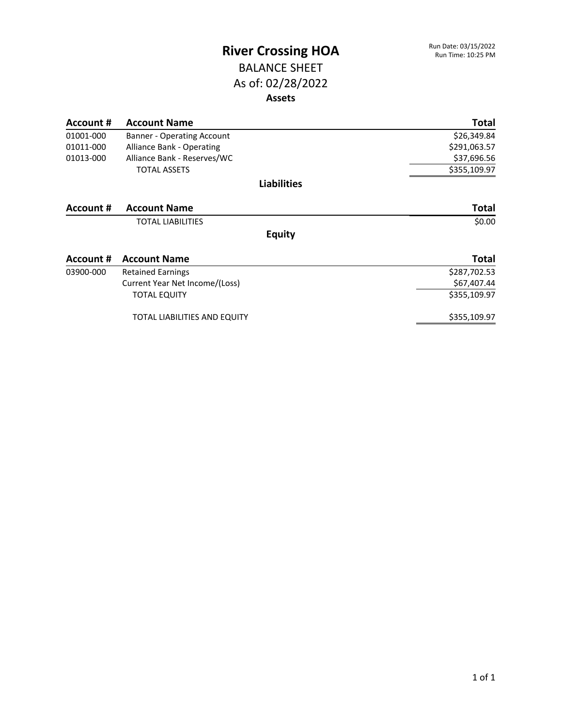#### BALANCE SHEET As of: 02/28/2022 **Assets**

| Account # | <b>Account Name</b>                 | <b>Total</b> |
|-----------|-------------------------------------|--------------|
| 01001-000 | <b>Banner - Operating Account</b>   | \$26,349.84  |
| 01011-000 | <b>Alliance Bank - Operating</b>    | \$291,063.57 |
| 01013-000 | Alliance Bank - Reserves/WC         | \$37,696.56  |
|           | <b>TOTAL ASSETS</b>                 | \$355,109.97 |
|           | <b>Liabilities</b>                  |              |
| Account # | <b>Account Name</b>                 | <b>Total</b> |
|           | <b>TOTAL LIABILITIES</b>            | \$0.00       |
|           | <b>Equity</b>                       |              |
| Account # | <b>Account Name</b>                 | <b>Total</b> |
| 03900-000 | <b>Retained Earnings</b>            | \$287,702.53 |
|           | Current Year Net Income/(Loss)      | \$67,407.44  |
|           | <b>TOTAL EQUITY</b>                 | \$355,109.97 |
|           | <b>TOTAL LIABILITIES AND EQUITY</b> | \$355,109.97 |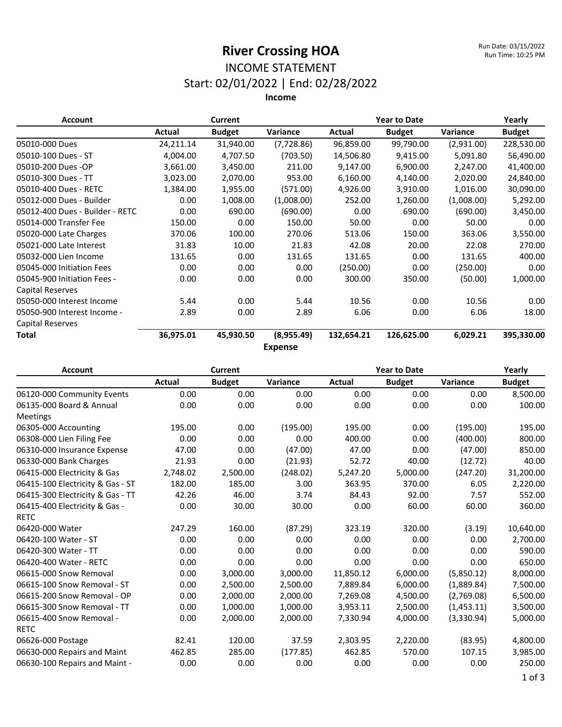#### INCOME STATEMENT Start: 02/01/2022 | End: 02/28/2022

| <b>Account</b>                  |           | Current       |                |            | <b>Year to Date</b> |            |               |
|---------------------------------|-----------|---------------|----------------|------------|---------------------|------------|---------------|
|                                 | Actual    | <b>Budget</b> | Variance       | Actual     | <b>Budget</b>       | Variance   | <b>Budget</b> |
| 05010-000 Dues                  | 24,211.14 | 31,940.00     | (7,728.86)     | 96,859.00  | 99,790.00           | (2,931.00) | 228,530.00    |
| 05010-100 Dues - ST             | 4,004.00  | 4,707.50      | (703.50)       | 14,506.80  | 9,415.00            | 5,091.80   | 56,490.00     |
| 05010-200 Dues -OP              | 3,661.00  | 3,450.00      | 211.00         | 9,147.00   | 6,900.00            | 2,247.00   | 41,400.00     |
| 05010-300 Dues - TT             | 3,023.00  | 2,070.00      | 953.00         | 6,160.00   | 4,140.00            | 2,020.00   | 24,840.00     |
| 05010-400 Dues - RETC           | 1,384.00  | 1,955.00      | (571.00)       | 4,926.00   | 3,910.00            | 1,016.00   | 30,090.00     |
| 05012-000 Dues - Builder        | 0.00      | 1,008.00      | (1,008.00)     | 252.00     | 1,260.00            | (1,008.00) | 5,292.00      |
| 05012-400 Dues - Builder - RETC | 0.00      | 690.00        | (690.00)       | 0.00       | 690.00              | (690.00)   | 3,450.00      |
| 05014-000 Transfer Fee          | 150.00    | 0.00          | 150.00         | 50.00      | 0.00                | 50.00      | 0.00          |
| 05020-000 Late Charges          | 370.06    | 100.00        | 270.06         | 513.06     | 150.00              | 363.06     | 3,550.00      |
| 05021-000 Late Interest         | 31.83     | 10.00         | 21.83          | 42.08      | 20.00               | 22.08      | 270.00        |
| 05032-000 Lien Income           | 131.65    | 0.00          | 131.65         | 131.65     | 0.00                | 131.65     | 400.00        |
| 05045-000 Initiation Fees       | 0.00      | 0.00          | 0.00           | (250.00)   | 0.00                | (250.00)   | 0.00          |
| 05045-900 Initiation Fees -     | 0.00      | 0.00          | 0.00           | 300.00     | 350.00              | (50.00)    | 1,000.00      |
| <b>Capital Reserves</b>         |           |               |                |            |                     |            |               |
| 05050-000 Interest Income       | 5.44      | 0.00          | 5.44           | 10.56      | 0.00                | 10.56      | 0.00          |
| 05050-900 Interest Income -     | 2.89      | 0.00          | 2.89           | 6.06       | 0.00                | 6.06       | 18.00         |
| <b>Capital Reserves</b>         |           |               |                |            |                     |            |               |
| <b>Total</b>                    | 36,975.01 | 45,930.50     | (8,955.49)     | 132,654.21 | 126,625.00          | 6,029.21   | 395,330.00    |
|                                 |           |               | <b>Expense</b> |            |                     |            |               |

| <b>Account</b>                   |          | <b>Current</b> |          |           | <b>Year to Date</b> |            |               |  |
|----------------------------------|----------|----------------|----------|-----------|---------------------|------------|---------------|--|
|                                  | Actual   | <b>Budget</b>  | Variance | Actual    | <b>Budget</b>       | Variance   | <b>Budget</b> |  |
| 06120-000 Community Events       | 0.00     | 0.00           | 0.00     | 0.00      | 0.00                | 0.00       | 8,500.00      |  |
| 06135-000 Board & Annual         | 0.00     | 0.00           | 0.00     | 0.00      | 0.00                | 0.00       | 100.00        |  |
| <b>Meetings</b>                  |          |                |          |           |                     |            |               |  |
| 06305-000 Accounting             | 195.00   | 0.00           | (195.00) | 195.00    | 0.00                | (195.00)   | 195.00        |  |
| 06308-000 Lien Filing Fee        | 0.00     | 0.00           | 0.00     | 400.00    | 0.00                | (400.00)   | 800.00        |  |
| 06310-000 Insurance Expense      | 47.00    | 0.00           | (47.00)  | 47.00     | 0.00                | (47.00)    | 850.00        |  |
| 06330-000 Bank Charges           | 21.93    | 0.00           | (21.93)  | 52.72     | 40.00               | (12.72)    | 40.00         |  |
| 06415-000 Electricity & Gas      | 2,748.02 | 2,500.00       | (248.02) | 5,247.20  | 5,000.00            | (247.20)   | 31,200.00     |  |
| 06415-100 Electricity & Gas - ST | 182.00   | 185.00         | 3.00     | 363.95    | 370.00              | 6.05       | 2,220.00      |  |
| 06415-300 Electricity & Gas - TT | 42.26    | 46.00          | 3.74     | 84.43     | 92.00               | 7.57       | 552.00        |  |
| 06415-400 Electricity & Gas -    | 0.00     | 30.00          | 30.00    | 0.00      | 60.00               | 60.00      | 360.00        |  |
| <b>RETC</b>                      |          |                |          |           |                     |            |               |  |
| 06420-000 Water                  | 247.29   | 160.00         | (87.29)  | 323.19    | 320.00              | (3.19)     | 10,640.00     |  |
| 06420-100 Water - ST             | 0.00     | 0.00           | 0.00     | 0.00      | 0.00                | 0.00       | 2,700.00      |  |
| 06420-300 Water - TT             | 0.00     | 0.00           | 0.00     | 0.00      | 0.00                | 0.00       | 590.00        |  |
| 06420-400 Water - RETC           | 0.00     | 0.00           | 0.00     | 0.00      | 0.00                | 0.00       | 650.00        |  |
| 06615-000 Snow Removal           | 0.00     | 3,000.00       | 3,000.00 | 11,850.12 | 6,000.00            | (5,850.12) | 8,000.00      |  |
| 06615-100 Snow Removal - ST      | 0.00     | 2,500.00       | 2,500.00 | 7,889.84  | 6,000.00            | (1,889.84) | 7,500.00      |  |
| 06615-200 Snow Removal - OP      | 0.00     | 2,000.00       | 2,000.00 | 7,269.08  | 4,500.00            | (2,769.08) | 6,500.00      |  |
| 06615-300 Snow Removal - TT      | 0.00     | 1,000.00       | 1,000.00 | 3,953.11  | 2,500.00            | (1,453.11) | 3,500.00      |  |
| 06615-400 Snow Removal -         | 0.00     | 2.000.00       | 2,000.00 | 7,330.94  | 4,000.00            | (3,330.94) | 5,000.00      |  |
| <b>RETC</b>                      |          |                |          |           |                     |            |               |  |
| 06626-000 Postage                | 82.41    | 120.00         | 37.59    | 2,303.95  | 2,220.00            | (83.95)    | 4,800.00      |  |
| 06630-000 Repairs and Maint      | 462.85   | 285.00         | (177.85) | 462.85    | 570.00              | 107.15     | 3,985.00      |  |
| 06630-100 Repairs and Maint -    | 0.00     | 0.00           | 0.00     | 0.00      | 0.00                | 0.00       | 250.00        |  |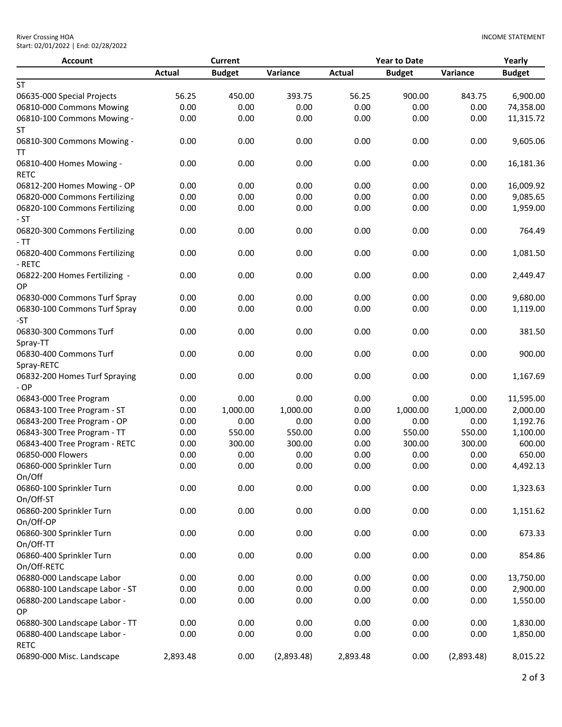| <b>Account</b>                          |               | <b>Current</b> |            | <b>Year to Date</b> |               |            | Yearly        |  |
|-----------------------------------------|---------------|----------------|------------|---------------------|---------------|------------|---------------|--|
|                                         | <b>Actual</b> | <b>Budget</b>  | Variance   | <b>Actual</b>       | <b>Budget</b> | Variance   | <b>Budget</b> |  |
| <b>ST</b>                               |               |                |            |                     |               |            |               |  |
| 06635-000 Special Projects              | 56.25         | 450.00         | 393.75     | 56.25               | 900.00        | 843.75     | 6,900.00      |  |
| 06810-000 Commons Mowing                | 0.00          | 0.00           | 0.00       | 0.00                | 0.00          | 0.00       | 74,358.00     |  |
| 06810-100 Commons Mowing -              | 0.00          | 0.00           | 0.00       | 0.00                | 0.00          | 0.00       | 11,315.72     |  |
| ST                                      |               |                |            |                     |               |            |               |  |
| 06810-300 Commons Mowing -              | 0.00          | 0.00           | 0.00       | 0.00                | 0.00          | 0.00       | 9,605.06      |  |
| TΤ                                      |               |                |            |                     |               |            |               |  |
| 06810-400 Homes Mowing -<br><b>RETC</b> | 0.00          | 0.00           | 0.00       | 0.00                | 0.00          | 0.00       | 16,181.36     |  |
| 06812-200 Homes Mowing - OP             | 0.00          | 0.00           | 0.00       | 0.00                | 0.00          | 0.00       | 16,009.92     |  |
| 06820-000 Commons Fertilizing           | 0.00          | 0.00           | 0.00       | 0.00                | 0.00          | 0.00       | 9,085.65      |  |
| 06820-100 Commons Fertilizing           | 0.00          | 0.00           | 0.00       | 0.00                | 0.00          | 0.00       | 1,959.00      |  |
| $-ST$                                   |               |                |            |                     |               |            |               |  |
| 06820-300 Commons Fertilizing           | 0.00          | 0.00           | 0.00       | 0.00                | 0.00          | 0.00       | 764.49        |  |
| - TT                                    |               |                |            |                     |               |            |               |  |
| 06820-400 Commons Fertilizing<br>- RETC | 0.00          | 0.00           | 0.00       | 0.00                | 0.00          | 0.00       | 1,081.50      |  |
| 06822-200 Homes Fertilizing -<br>OP     | 0.00          | 0.00           | 0.00       | 0.00                | 0.00          | 0.00       | 2,449.47      |  |
| 06830-000 Commons Turf Spray            | 0.00          | 0.00           | 0.00       | 0.00                | 0.00          | 0.00       | 9,680.00      |  |
| 06830-100 Commons Turf Spray            | 0.00          | 0.00           | 0.00       | 0.00                | 0.00          | 0.00       | 1,119.00      |  |
| -ST                                     |               |                |            |                     |               |            |               |  |
| 06830-300 Commons Turf<br>Spray-TT      | 0.00          | 0.00           | 0.00       | 0.00                | 0.00          | 0.00       | 381.50        |  |
| 06830-400 Commons Turf                  | 0.00          | 0.00           | 0.00       | 0.00                | 0.00          | 0.00       | 900.00        |  |
| Spray-RETC                              |               |                |            |                     |               |            |               |  |
| 06832-200 Homes Turf Spraying           | 0.00          | 0.00           | 0.00       | 0.00                | 0.00          | 0.00       | 1,167.69      |  |
| $-OP$                                   |               |                |            |                     |               |            |               |  |
| 06843-000 Tree Program                  | 0.00          | 0.00           | 0.00       | 0.00                | 0.00          | 0.00       | 11,595.00     |  |
| 06843-100 Tree Program - ST             | 0.00          | 1,000.00       | 1,000.00   | 0.00                | 1,000.00      | 1,000.00   | 2,000.00      |  |
| 06843-200 Tree Program - OP             | 0.00          | 0.00           | 0.00       | 0.00                | 0.00          | 0.00       | 1,192.76      |  |
| 06843-300 Tree Program - TT             | 0.00          | 550.00         | 550.00     | 0.00                | 550.00        | 550.00     | 1,100.00      |  |
| 06843-400 Tree Program - RETC           | 0.00          | 300.00         | 300.00     | 0.00                | 300.00        | 300.00     | 600.00        |  |
| 06850-000 Flowers                       | 0.00          | 0.00           | 0.00       | 0.00                | 0.00          | 0.00       | 650.00        |  |
| 06860-000 Sprinkler Turn                | 0.00          | 0.00           | 0.00       | 0.00                | 0.00          | 0.00       | 4,492.13      |  |
| On/Off                                  |               |                |            |                     |               |            |               |  |
| 06860-100 Sprinkler Turn                | 0.00          | 0.00           | 0.00       | 0.00                | 0.00          | 0.00       | 1,323.63      |  |
| On/Off-ST                               |               |                |            |                     |               |            |               |  |
| 06860-200 Sprinkler Turn                | 0.00          | 0.00           | 0.00       | 0.00                | 0.00          | 0.00       | 1,151.62      |  |
| On/Off-OP                               |               |                |            |                     |               |            |               |  |
| 06860-300 Sprinkler Turn                | 0.00          | 0.00           | 0.00       | 0.00                | 0.00          | 0.00       | 673.33        |  |
| On/Off-TT                               |               |                |            |                     |               |            |               |  |
| 06860-400 Sprinkler Turn                | 0.00          | 0.00           | 0.00       | 0.00                | 0.00          | 0.00       | 854.86        |  |
| On/Off-RETC                             |               |                |            |                     |               |            |               |  |
| 06880-000 Landscape Labor               | 0.00          | 0.00           | 0.00       | 0.00                | 0.00          | 0.00       | 13,750.00     |  |
| 06880-100 Landscape Labor - ST          | 0.00          | 0.00           | 0.00       | 0.00                | 0.00          | 0.00       | 2,900.00      |  |
| 06880-200 Landscape Labor -             | 0.00          | 0.00           | 0.00       | 0.00                | 0.00          | 0.00       | 1,550.00      |  |
| OP                                      |               |                |            |                     |               |            |               |  |
| 06880-300 Landscape Labor - TT          | 0.00          | 0.00           | 0.00       | 0.00                | 0.00          | 0.00       | 1,830.00      |  |
| 06880-400 Landscape Labor -             | 0.00          | 0.00           | 0.00       | 0.00                | 0.00          | 0.00       | 1,850.00      |  |
| <b>RETC</b>                             |               |                |            |                     |               |            |               |  |
| 06890-000 Misc. Landscape               | 2,893.48      | 0.00           | (2,893.48) | 2,893.48            | 0.00          | (2,893.48) | 8,015.22      |  |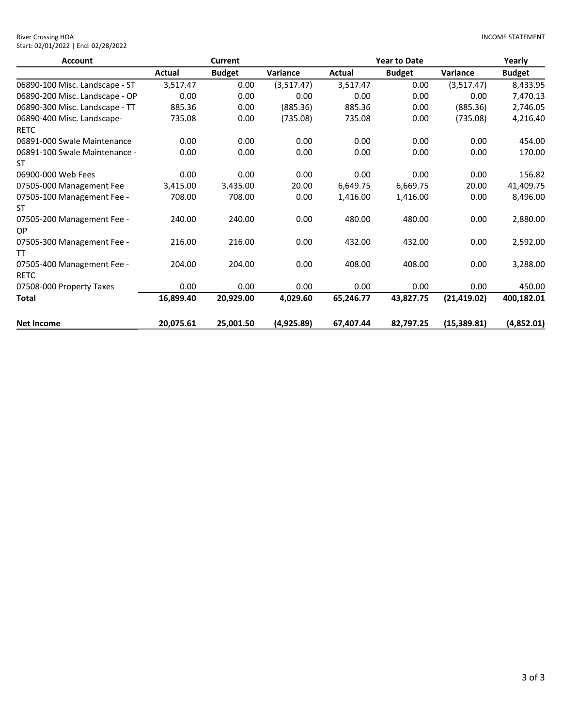| <b>River Crossing HOA</b>           |
|-------------------------------------|
| Start: 02/01/2022   End: 02/28/2022 |

| <b>Account</b>                            |           | <b>Current</b> |            | <b>Year to Date</b> |               |              | Yearly        |
|-------------------------------------------|-----------|----------------|------------|---------------------|---------------|--------------|---------------|
|                                           | Actual    | <b>Budget</b>  | Variance   | Actual              | <b>Budget</b> | Variance     | <b>Budget</b> |
| 06890-100 Misc. Landscape - ST            | 3,517.47  | 0.00           | (3,517.47) | 3,517.47            | 0.00          | (3,517.47)   | 8,433.95      |
| 06890-200 Misc. Landscape - OP            | 0.00      | 0.00           | 0.00       | 0.00                | 0.00          | 0.00         | 7,470.13      |
| 06890-300 Misc. Landscape - TT            | 885.36    | 0.00           | (885.36)   | 885.36              | 0.00          | (885.36)     | 2,746.05      |
| 06890-400 Misc. Landscape-<br><b>RETC</b> | 735.08    | 0.00           | (735.08)   | 735.08              | 0.00          | (735.08)     | 4,216.40      |
| 06891-000 Swale Maintenance               | 0.00      | 0.00           | 0.00       | 0.00                | 0.00          | 0.00         | 454.00        |
| 06891-100 Swale Maintenance -<br>ST       | 0.00      | 0.00           | 0.00       | 0.00                | 0.00          | 0.00         | 170.00        |
| 06900-000 Web Fees                        | 0.00      | 0.00           | 0.00       | 0.00                | 0.00          | 0.00         | 156.82        |
| 07505-000 Management Fee                  | 3,415.00  | 3,435.00       | 20.00      | 6,649.75            | 6,669.75      | 20.00        | 41,409.75     |
| 07505-100 Management Fee -<br>ST          | 708.00    | 708.00         | 0.00       | 1,416.00            | 1,416.00      | 0.00         | 8,496.00      |
| 07505-200 Management Fee -<br>OP.         | 240.00    | 240.00         | 0.00       | 480.00              | 480.00        | 0.00         | 2,880.00      |
| 07505-300 Management Fee -<br>TT          | 216.00    | 216.00         | 0.00       | 432.00              | 432.00        | 0.00         | 2,592.00      |
| 07505-400 Management Fee -<br><b>RETC</b> | 204.00    | 204.00         | 0.00       | 408.00              | 408.00        | 0.00         | 3,288.00      |
| 07508-000 Property Taxes                  | 0.00      | 0.00           | 0.00       | 0.00                | 0.00          | 0.00         | 450.00        |
| Total                                     | 16,899.40 | 20,929.00      | 4,029.60   | 65,246.77           | 43,827.75     | (21, 419.02) | 400,182.01    |
| <b>Net Income</b>                         | 20,075.61 | 25,001.50      | (4,925.89) | 67,407.44           | 82,797.25     | (15,389.81)  | (4,852.01)    |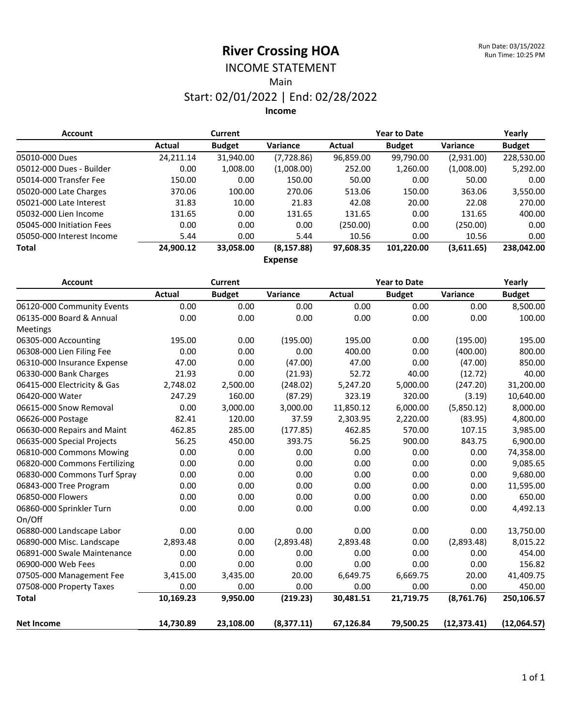#### INCOME STATEMENT Main

#### Start: 02/01/2022 | End: 02/28/2022 **Income**

| <b>Account</b>            |           | <b>Current</b> |             |           | <b>Year to Date</b> |                 | Yearly        |  |  |
|---------------------------|-----------|----------------|-------------|-----------|---------------------|-----------------|---------------|--|--|
|                           | Actual    | <b>Budget</b>  | Variance    | Actual    | <b>Budget</b>       | <b>Variance</b> | <b>Budget</b> |  |  |
| 05010-000 Dues            | 24,211.14 | 31,940.00      | (7,728.86)  | 96,859.00 | 99,790.00           | (2,931.00)      | 228,530.00    |  |  |
| 05012-000 Dues - Builder  | 0.00      | 1,008.00       | (1,008.00)  | 252.00    | 1,260.00            | (1,008.00)      | 5,292.00      |  |  |
| 05014-000 Transfer Fee    | 150.00    | 0.00           | 150.00      | 50.00     | 0.00                | 50.00           | 0.00          |  |  |
| 05020-000 Late Charges    | 370.06    | 100.00         | 270.06      | 513.06    | 150.00              | 363.06          | 3,550.00      |  |  |
| 05021-000 Late Interest   | 31.83     | 10.00          | 21.83       | 42.08     | 20.00               | 22.08           | 270.00        |  |  |
| 05032-000 Lien Income     | 131.65    | 0.00           | 131.65      | 131.65    | 0.00                | 131.65          | 400.00        |  |  |
| 05045-000 Initiation Fees | 0.00      | 0.00           | 0.00        | (250.00)  | 0.00                | (250.00)        | 0.00          |  |  |
| 05050-000 Interest Income | 5.44      | 0.00           | 5.44        | 10.56     | 0.00                | 10.56           | 0.00          |  |  |
| <b>Total</b>              | 24,900.12 | 33,058.00      | (8, 157.88) | 97,608.35 | 101,220.00          | (3,611.65)      | 238,042.00    |  |  |
| <b>Expense</b>            |           |                |             |           |                     |                 |               |  |  |

| <b>Account</b>                | <b>Current</b> |               |            | <b>Year to Date</b> |               |              | Yearly        |
|-------------------------------|----------------|---------------|------------|---------------------|---------------|--------------|---------------|
|                               | <b>Actual</b>  | <b>Budget</b> | Variance   | <b>Actual</b>       | <b>Budget</b> | Variance     | <b>Budget</b> |
| 06120-000 Community Events    | 0.00           | 0.00          | 0.00       | 0.00                | 0.00          | 0.00         | 8,500.00      |
| 06135-000 Board & Annual      | 0.00           | 0.00          | 0.00       | 0.00                | 0.00          | 0.00         | 100.00        |
| Meetings                      |                |               |            |                     |               |              |               |
| 06305-000 Accounting          | 195.00         | 0.00          | (195.00)   | 195.00              | 0.00          | (195.00)     | 195.00        |
| 06308-000 Lien Filing Fee     | 0.00           | 0.00          | 0.00       | 400.00              | 0.00          | (400.00)     | 800.00        |
| 06310-000 Insurance Expense   | 47.00          | 0.00          | (47.00)    | 47.00               | 0.00          | (47.00)      | 850.00        |
| 06330-000 Bank Charges        | 21.93          | 0.00          | (21.93)    | 52.72               | 40.00         | (12.72)      | 40.00         |
| 06415-000 Electricity & Gas   | 2,748.02       | 2,500.00      | (248.02)   | 5,247.20            | 5,000.00      | (247.20)     | 31,200.00     |
| 06420-000 Water               | 247.29         | 160.00        | (87.29)    | 323.19              | 320.00        | (3.19)       | 10,640.00     |
| 06615-000 Snow Removal        | 0.00           | 3,000.00      | 3,000.00   | 11,850.12           | 6,000.00      | (5,850.12)   | 8,000.00      |
| 06626-000 Postage             | 82.41          | 120.00        | 37.59      | 2,303.95            | 2,220.00      | (83.95)      | 4,800.00      |
| 06630-000 Repairs and Maint   | 462.85         | 285.00        | (177.85)   | 462.85              | 570.00        | 107.15       | 3,985.00      |
| 06635-000 Special Projects    | 56.25          | 450.00        | 393.75     | 56.25               | 900.00        | 843.75       | 6,900.00      |
| 06810-000 Commons Mowing      | 0.00           | 0.00          | 0.00       | 0.00                | 0.00          | 0.00         | 74,358.00     |
| 06820-000 Commons Fertilizing | 0.00           | 0.00          | 0.00       | 0.00                | 0.00          | 0.00         | 9,085.65      |
| 06830-000 Commons Turf Spray  | 0.00           | 0.00          | 0.00       | 0.00                | 0.00          | 0.00         | 9,680.00      |
| 06843-000 Tree Program        | 0.00           | 0.00          | 0.00       | 0.00                | 0.00          | 0.00         | 11,595.00     |
| 06850-000 Flowers             | 0.00           | 0.00          | 0.00       | 0.00                | 0.00          | 0.00         | 650.00        |
| 06860-000 Sprinkler Turn      | 0.00           | 0.00          | 0.00       | 0.00                | 0.00          | 0.00         | 4,492.13      |
| On/Off                        |                |               |            |                     |               |              |               |
| 06880-000 Landscape Labor     | 0.00           | 0.00          | 0.00       | 0.00                | 0.00          | 0.00         | 13,750.00     |
| 06890-000 Misc. Landscape     | 2,893.48       | 0.00          | (2,893.48) | 2,893.48            | 0.00          | (2,893.48)   | 8,015.22      |
| 06891-000 Swale Maintenance   | 0.00           | 0.00          | 0.00       | 0.00                | 0.00          | 0.00         | 454.00        |
| 06900-000 Web Fees            | 0.00           | 0.00          | 0.00       | 0.00                | 0.00          | 0.00         | 156.82        |
| 07505-000 Management Fee      | 3,415.00       | 3,435.00      | 20.00      | 6,649.75            | 6,669.75      | 20.00        | 41,409.75     |
| 07508-000 Property Taxes      | 0.00           | 0.00          | 0.00       | 0.00                | 0.00          | 0.00         | 450.00        |
| <b>Total</b>                  | 10,169.23      | 9,950.00      | (219.23)   | 30,481.51           | 21,719.75     | (8,761.76)   | 250,106.57    |
| <b>Net Income</b>             | 14,730.89      | 23,108.00     | (8,377.11) | 67,126.84           | 79,500.25     | (12, 373.41) | (12,064.57)   |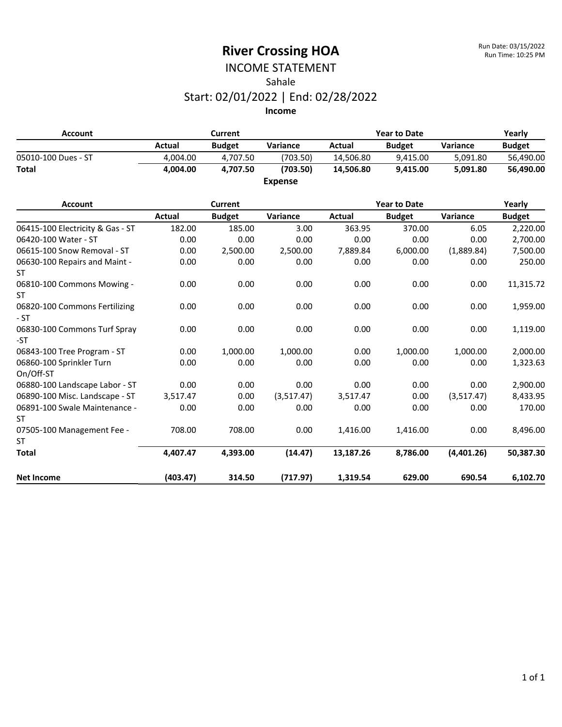#### INCOME STATEMENT Sahale Start: 02/01/2022 | End: 02/28/2022

| <b>Account</b>      |          | Current       |                 |           | <b>Year to Date</b> |                 |               |  |
|---------------------|----------|---------------|-----------------|-----------|---------------------|-----------------|---------------|--|
|                     | Actual   | <b>Budget</b> | <b>Variance</b> | Actual    | <b>Budget</b>       | <b>Variance</b> | <b>Budget</b> |  |
| 05010-100 Dues - ST | 4.004.00 | 4.707.50      | (703.50)        | 14.506.80 | 9.415.00            | 5.091.80        | 56.490.00     |  |
| <b>Total</b>        | 4.004.00 | 4.707.50      | (703.50)        | 14.506.80 | 9.415.00            | 5.091.80        | 56,490.00     |  |
|                     |          |               | <b>Expense</b>  |           |                     |                 |               |  |

| <b>Account</b>                         |          | <b>Current</b> |            |           | <b>Year to Date</b> |                 |               |
|----------------------------------------|----------|----------------|------------|-----------|---------------------|-----------------|---------------|
|                                        | Actual   | <b>Budget</b>  | Variance   | Actual    | <b>Budget</b>       | <b>Variance</b> | <b>Budget</b> |
| 06415-100 Electricity & Gas - ST       | 182.00   | 185.00         | 3.00       | 363.95    | 370.00              | 6.05            | 2,220.00      |
| 06420-100 Water - ST                   | 0.00     | 0.00           | 0.00       | 0.00      | 0.00                | 0.00            | 2,700.00      |
| 06615-100 Snow Removal - ST            | 0.00     | 2,500.00       | 2,500.00   | 7,889.84  | 6,000.00            | (1,889.84)      | 7,500.00      |
| 06630-100 Repairs and Maint -<br>ST    | 0.00     | 0.00           | 0.00       | 0.00      | 0.00                | 0.00            | 250.00        |
| 06810-100 Commons Mowing -<br>ST.      | 0.00     | 0.00           | 0.00       | 0.00      | 0.00                | 0.00            | 11,315.72     |
| 06820-100 Commons Fertilizing<br>$-ST$ | 0.00     | 0.00           | 0.00       | 0.00      | 0.00                | 0.00            | 1,959.00      |
| 06830-100 Commons Turf Spray<br>-ST    | 0.00     | 0.00           | 0.00       | 0.00      | 0.00                | 0.00            | 1,119.00      |
| 06843-100 Tree Program - ST            | 0.00     | 1,000.00       | 1,000.00   | 0.00      | 1,000.00            | 1,000.00        | 2,000.00      |
| 06860-100 Sprinkler Turn<br>On/Off-ST  | 0.00     | 0.00           | 0.00       | 0.00      | 0.00                | 0.00            | 1,323.63      |
| 06880-100 Landscape Labor - ST         | 0.00     | 0.00           | 0.00       | 0.00      | 0.00                | 0.00            | 2,900.00      |
| 06890-100 Misc. Landscape - ST         | 3,517.47 | 0.00           | (3,517.47) | 3,517.47  | 0.00                | (3,517.47)      | 8,433.95      |
| 06891-100 Swale Maintenance -<br>ST    | 0.00     | 0.00           | 0.00       | 0.00      | 0.00                | 0.00            | 170.00        |
| 07505-100 Management Fee -             | 708.00   | 708.00         | 0.00       | 1,416.00  | 1,416.00            | 0.00            | 8,496.00      |
| ST                                     |          |                |            |           |                     |                 |               |
| <b>Total</b>                           | 4,407.47 | 4,393.00       | (14.47)    | 13,187.26 | 8,786.00            | (4,401.26)      | 50,387.30     |
| <b>Net Income</b>                      | (403.47) | 314.50         | (717.97)   | 1,319.54  | 629.00              | 690.54          | 6,102.70      |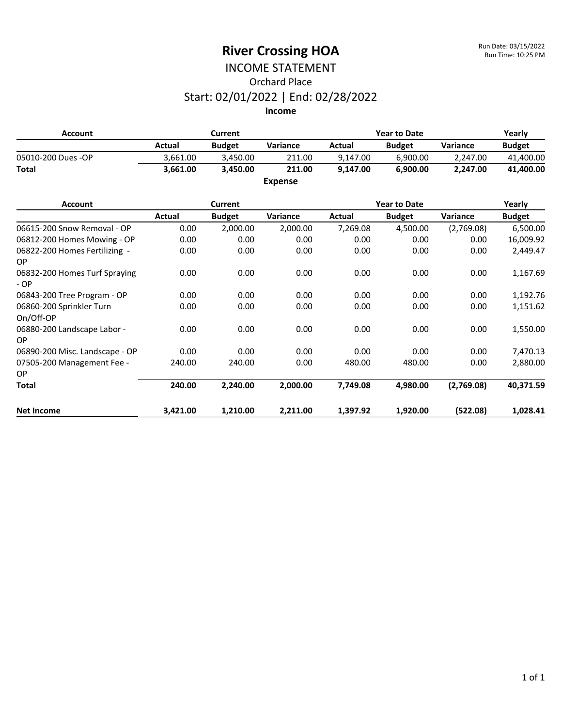## INCOME STATEMENT Orchard Place Start: 02/01/2022 | End: 02/28/2022

| Account            |          | <b>Year to Date</b><br>Current |                |          |               | Yearly   |               |
|--------------------|----------|--------------------------------|----------------|----------|---------------|----------|---------------|
|                    | Actual   | <b>Budget</b>                  | Variance       | Actual   | <b>Budget</b> | Variance | <b>Budget</b> |
| 05010-200 Dues -OP | 3.661.00 | 3.450.00                       | 211.00         | 9.147.00 | 6.900.00      | 2.247.00 | 41,400.00     |
| <b>Total</b>       | 3.661.00 | 3.450.00                       | 211.00         | 9.147.00 | 6.900.00      | 2.247.00 | 41.400.00     |
|                    |          |                                | <b>Expense</b> |          |               |          |               |

| <b>Account</b>                         |          | Current       |          |          | <b>Year to Date</b> |            |               |
|----------------------------------------|----------|---------------|----------|----------|---------------------|------------|---------------|
|                                        | Actual   | <b>Budget</b> | Variance | Actual   | <b>Budget</b>       | Variance   | <b>Budget</b> |
| 06615-200 Snow Removal - OP            | 0.00     | 2,000.00      | 2,000.00 | 7,269.08 | 4,500.00            | (2,769.08) | 6,500.00      |
| 06812-200 Homes Mowing - OP            | 0.00     | 0.00          | 0.00     | 0.00     | 0.00                | 0.00       | 16,009.92     |
| 06822-200 Homes Fertilizing -<br>OP.   | 0.00     | 0.00          | 0.00     | 0.00     | 0.00                | 0.00       | 2,449.47      |
| 06832-200 Homes Turf Spraying<br>$-OP$ | 0.00     | 0.00          | 0.00     | 0.00     | 0.00                | 0.00       | 1,167.69      |
| 06843-200 Tree Program - OP            | 0.00     | 0.00          | 0.00     | 0.00     | 0.00                | 0.00       | 1,192.76      |
| 06860-200 Sprinkler Turn<br>On/Off-OP  | 0.00     | 0.00          | 0.00     | 0.00     | 0.00                | 0.00       | 1,151.62      |
| 06880-200 Landscape Labor -<br>OP.     | 0.00     | 0.00          | 0.00     | 0.00     | 0.00                | 0.00       | 1,550.00      |
| 06890-200 Misc. Landscape - OP         | 0.00     | 0.00          | 0.00     | 0.00     | 0.00                | 0.00       | 7,470.13      |
| 07505-200 Management Fee -<br>OP.      | 240.00   | 240.00        | 0.00     | 480.00   | 480.00              | 0.00       | 2,880.00      |
| <b>Total</b>                           | 240.00   | 2,240.00      | 2,000.00 | 7,749.08 | 4,980.00            | (2,769.08) | 40,371.59     |
| <b>Net Income</b>                      | 3,421.00 | 1,210.00      | 2,211.00 | 1,397.92 | 1,920.00            | (522.08)   | 1,028.41      |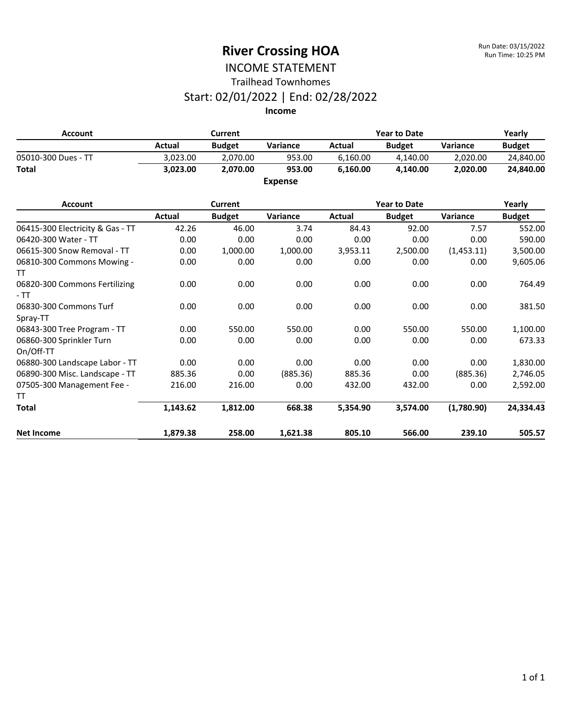#### INCOME STATEMENT Trailhead Townhomes

#### Start: 02/01/2022 | End: 02/28/2022

| Account             |          | Current       |                |          | <b>Year to Date</b> |          |               |
|---------------------|----------|---------------|----------------|----------|---------------------|----------|---------------|
|                     | Actual   | <b>Budget</b> | Variance       | Actual   | <b>Budget</b>       | Variance | <b>Budget</b> |
| 05010-300 Dues - TT | 3.023.00 | 2.070.00      | 953.00         | 6.160.00 | 4.140.00            | 2.020.00 | 24,840.00     |
| <b>Total</b>        | 3.023.00 | 2.070.00      | 953.00         | 6.160.00 | 4.140.00            | 2.020.00 | 24.840.00     |
|                     |          |               | <b>Expense</b> |          |                     |          |               |

| <b>Account</b>                         | <b>Current</b> |               |          | <b>Year to Date</b> |               |            | Yearly        |
|----------------------------------------|----------------|---------------|----------|---------------------|---------------|------------|---------------|
|                                        | Actual         | <b>Budget</b> | Variance | Actual              | <b>Budget</b> | Variance   | <b>Budget</b> |
| 06415-300 Electricity & Gas - TT       | 42.26          | 46.00         | 3.74     | 84.43               | 92.00         | 7.57       | 552.00        |
| 06420-300 Water - TT                   | 0.00           | 0.00          | 0.00     | 0.00                | 0.00          | 0.00       | 590.00        |
| 06615-300 Snow Removal - TT            | 0.00           | 1,000.00      | 1,000.00 | 3,953.11            | 2,500.00      | (1,453.11) | 3,500.00      |
| 06810-300 Commons Mowing -<br>TT       | 0.00           | 0.00          | 0.00     | 0.00                | 0.00          | 0.00       | 9,605.06      |
| 06820-300 Commons Fertilizing<br>$-TT$ | 0.00           | 0.00          | 0.00     | 0.00                | 0.00          | 0.00       | 764.49        |
| 06830-300 Commons Turf<br>Spray-TT     | 0.00           | 0.00          | 0.00     | 0.00                | 0.00          | 0.00       | 381.50        |
| 06843-300 Tree Program - TT            | 0.00           | 550.00        | 550.00   | 0.00                | 550.00        | 550.00     | 1,100.00      |
| 06860-300 Sprinkler Turn<br>On/Off-TT  | 0.00           | 0.00          | 0.00     | 0.00                | 0.00          | 0.00       | 673.33        |
| 06880-300 Landscape Labor - TT         | 0.00           | 0.00          | 0.00     | 0.00                | 0.00          | 0.00       | 1,830.00      |
| 06890-300 Misc. Landscape - TT         | 885.36         | 0.00          | (885.36) | 885.36              | 0.00          | (885.36)   | 2,746.05      |
| 07505-300 Management Fee -<br>TT       | 216.00         | 216.00        | 0.00     | 432.00              | 432.00        | 0.00       | 2,592.00      |
| <b>Total</b>                           | 1,143.62       | 1,812.00      | 668.38   | 5,354.90            | 3,574.00      | (1,780.90) | 24,334.43     |
| <b>Net Income</b>                      | 1,879.38       | 258.00        | 1,621.38 | 805.10              | 566.00        | 239.10     | 505.57        |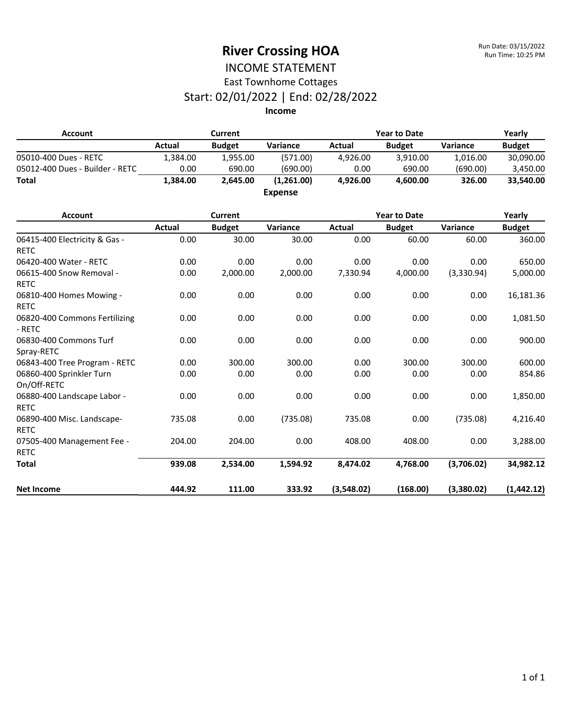#### INCOME STATEMENT East Townhome Cottages

## Start: 02/01/2022 | End: 02/28/2022

| <b>Account</b>                               | <b>Current</b> |                |                | <b>Year to Date</b> |                     |            | Yearly        |
|----------------------------------------------|----------------|----------------|----------------|---------------------|---------------------|------------|---------------|
|                                              | <b>Actual</b>  | <b>Budget</b>  | Variance       | <b>Actual</b>       | <b>Budget</b>       | Variance   | <b>Budget</b> |
| 05010-400 Dues - RETC                        | 1,384.00       | 1,955.00       | (571.00)       | 4,926.00            | 3,910.00            | 1,016.00   | 30,090.00     |
| 05012-400 Dues - Builder - RETC              | 0.00           | 690.00         | (690.00)       | 0.00                | 690.00              | (690.00)   | 3,450.00      |
| <b>Total</b>                                 | 1,384.00       | 2,645.00       | (1,261.00)     | 4,926.00            | 4,600.00            | 326.00     | 33,540.00     |
|                                              |                |                | <b>Expense</b> |                     |                     |            |               |
| <b>Account</b>                               |                | <b>Current</b> |                |                     | <b>Year to Date</b> |            | Yearly        |
|                                              | Actual         | <b>Budget</b>  | Variance       | <b>Actual</b>       | <b>Budget</b>       | Variance   | <b>Budget</b> |
| 06415-400 Electricity & Gas -<br><b>RETC</b> | 0.00           | 30.00          | 30.00          | 0.00                | 60.00               | 60.00      | 360.00        |
| 06420-400 Water - RETC                       | 0.00           | 0.00           | 0.00           | 0.00                | 0.00                | 0.00       | 650.00        |
| 06615-400 Snow Removal -                     | 0.00           | 2,000.00       | 2,000.00       | 7,330.94            | 4,000.00            | (3,330.94) | 5,000.00      |
| <b>RETC</b>                                  |                |                |                |                     |                     |            |               |
| 06810-400 Homes Mowing -                     | 0.00           | 0.00           | 0.00           | 0.00                | 0.00                | 0.00       | 16,181.36     |
| <b>RETC</b>                                  |                |                |                |                     |                     |            |               |
| 06820-400 Commons Fertilizing<br>- RETC      | 0.00           | 0.00           | 0.00           | 0.00                | 0.00                | 0.00       | 1,081.50      |
| 06830-400 Commons Turf<br>Spray-RETC         | 0.00           | 0.00           | 0.00           | 0.00                | 0.00                | 0.00       | 900.00        |
| 06843-400 Tree Program - RETC                | 0.00           | 300.00         | 300.00         | 0.00                | 300.00              | 300.00     | 600.00        |
| 06860-400 Sprinkler Turn<br>On/Off-RETC      | 0.00           | 0.00           | 0.00           | 0.00                | 0.00                | 0.00       | 854.86        |
| 06880-400 Landscape Labor -<br><b>RETC</b>   | 0.00           | 0.00           | 0.00           | 0.00                | 0.00                | 0.00       | 1,850.00      |
| 06890-400 Misc. Landscape-<br><b>RETC</b>    | 735.08         | 0.00           | (735.08)       | 735.08              | 0.00                | (735.08)   | 4,216.40      |
| 07505-400 Management Fee -<br><b>RETC</b>    | 204.00         | 204.00         | 0.00           | 408.00              | 408.00              | 0.00       | 3,288.00      |
| <b>Total</b>                                 | 939.08         | 2,534.00       | 1,594.92       | 8,474.02            | 4,768.00            | (3,706.02) | 34,982.12     |
| <b>Net Income</b>                            | 444.92         | 111.00         | 333.92         | (3,548.02)          | (168.00)            | (3,380.02) | (1,442.12)    |